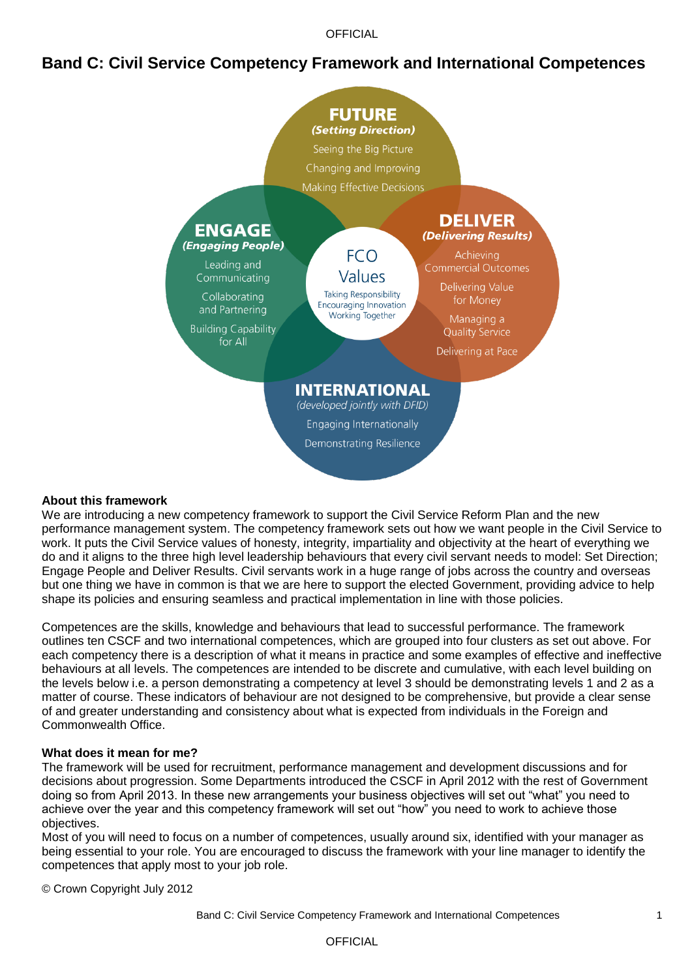**OFFICIAL** 

## **Band C: Civil Service Competency Framework and International Competences**



#### **About this framework**

We are introducing a new competency framework to support the Civil Service Reform Plan and the new performance management system. The competency framework sets out how we want people in the Civil Service to work. It puts the Civil Service values of honesty, integrity, impartiality and objectivity at the heart of everything we do and it aligns to the three high level leadership behaviours that every civil servant needs to model: Set Direction; Engage People and Deliver Results. Civil servants work in a huge range of jobs across the country and overseas but one thing we have in common is that we are here to support the elected Government, providing advice to help shape its policies and ensuring seamless and practical implementation in line with those policies.

Competences are the skills, knowledge and behaviours that lead to successful performance. The framework outlines ten CSCF and two international competences, which are grouped into four clusters as set out above. For each competency there is a description of what it means in practice and some examples of effective and ineffective behaviours at all levels. The competences are intended to be discrete and cumulative, with each level building on the levels below i.e. a person demonstrating a competency at level 3 should be demonstrating levels 1 and 2 as a matter of course. These indicators of behaviour are not designed to be comprehensive, but provide a clear sense of and greater understanding and consistency about what is expected from individuals in the Foreign and Commonwealth Office.

#### **What does it mean for me?**

The framework will be used for recruitment, performance management and development discussions and for decisions about progression. Some Departments introduced the CSCF in April 2012 with the rest of Government doing so from April 2013. In these new arrangements your business objectives will set out "what" you need to achieve over the year and this competency framework will set out "how" you need to work to achieve those objectives.

Most of you will need to focus on a number of competences, usually around six, identified with your manager as being essential to your role. You are encouraged to discuss the framework with your line manager to identify the competences that apply most to your job role.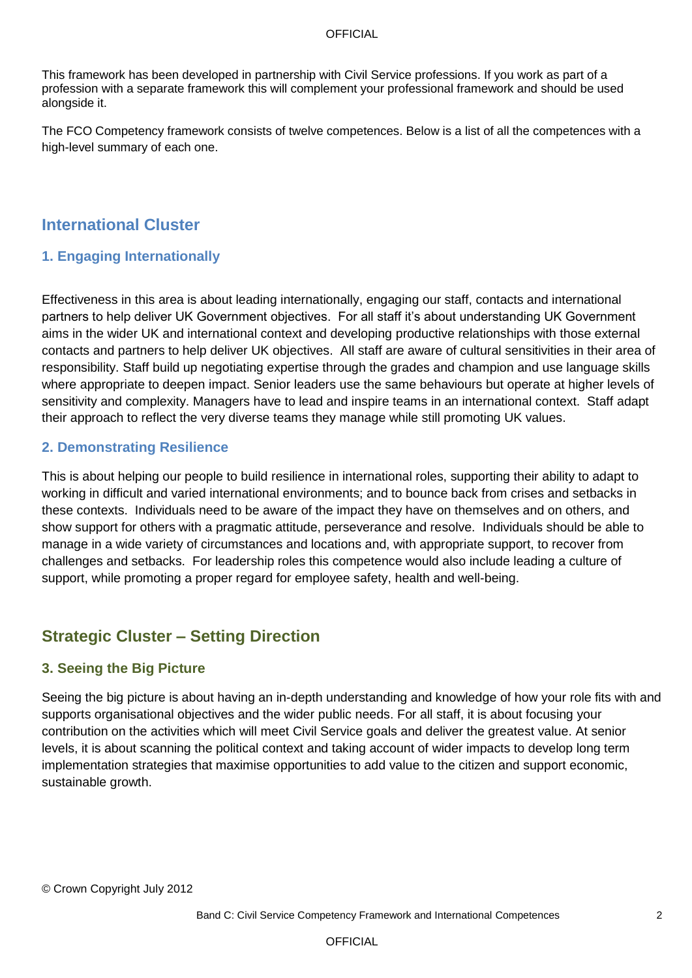#### **OFFICIAL**

This framework has been developed in partnership with Civil Service professions. If you work as part of a profession with a separate framework this will complement your professional framework and should be used alongside it.

The FCO Competency framework consists of twelve competences. Below is a list of all the competences with a high-level summary of each one.

## **International Cluster**

### **1. Engaging Internationally**

Effectiveness in this area is about leading internationally, engaging our staff, contacts and international partners to help deliver UK Government objectives. For all staff it"s about understanding UK Government aims in the wider UK and international context and developing productive relationships with those external contacts and partners to help deliver UK objectives. All staff are aware of cultural sensitivities in their area of responsibility. Staff build up negotiating expertise through the grades and champion and use language skills where appropriate to deepen impact. Senior leaders use the same behaviours but operate at higher levels of sensitivity and complexity. Managers have to lead and inspire teams in an international context. Staff adapt their approach to reflect the very diverse teams they manage while still promoting UK values.

### **2. Demonstrating Resilience**

This is about helping our people to build resilience in international roles, supporting their ability to adapt to working in difficult and varied international environments; and to bounce back from crises and setbacks in these contexts. Individuals need to be aware of the impact they have on themselves and on others, and show support for others with a pragmatic attitude, perseverance and resolve. Individuals should be able to manage in a wide variety of circumstances and locations and, with appropriate support, to recover from challenges and setbacks. For leadership roles this competence would also include leading a culture of support, while promoting a proper regard for employee safety, health and well-being.

# **Strategic Cluster – Setting Direction**

### **3. Seeing the Big Picture**

Seeing the big picture is about having an in-depth understanding and knowledge of how your role fits with and supports organisational objectives and the wider public needs. For all staff, it is about focusing your contribution on the activities which will meet Civil Service goals and deliver the greatest value. At senior levels, it is about scanning the political context and taking account of wider impacts to develop long term implementation strategies that maximise opportunities to add value to the citizen and support economic, sustainable growth.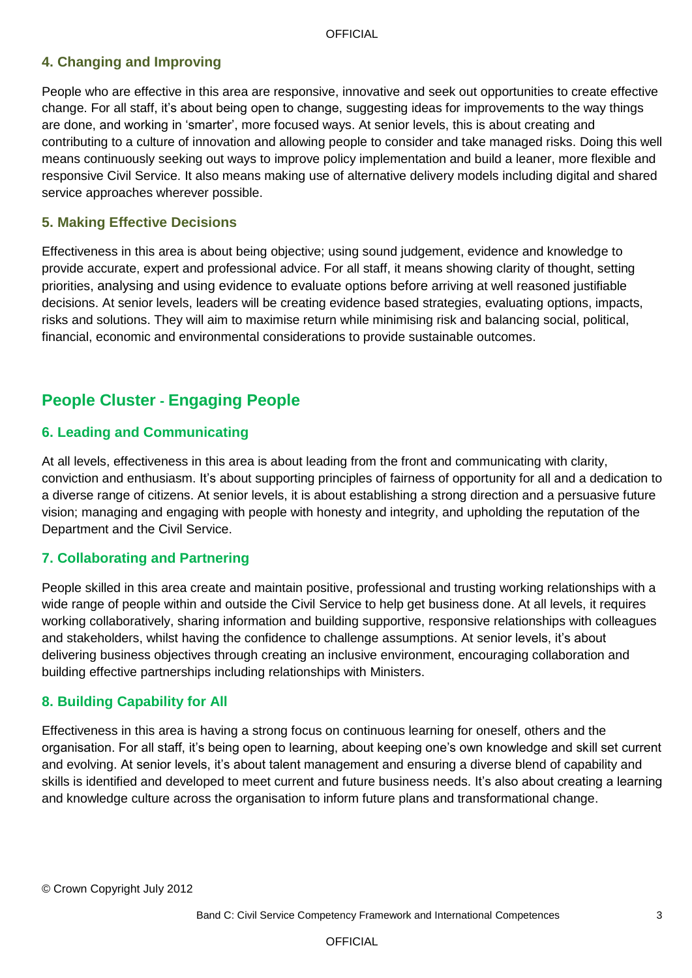## **4. Changing and Improving**

People who are effective in this area are responsive, innovative and seek out opportunities to create effective change. For all staff, it"s about being open to change, suggesting ideas for improvements to the way things are done, and working in "smarter", more focused ways. At senior levels, this is about creating and contributing to a culture of innovation and allowing people to consider and take managed risks. Doing this well means continuously seeking out ways to improve policy implementation and build a leaner, more flexible and responsive Civil Service. It also means making use of alternative delivery models including digital and shared service approaches wherever possible.

#### **5. Making Effective Decisions**

Effectiveness in this area is about being objective; using sound judgement, evidence and knowledge to provide accurate, expert and professional advice. For all staff, it means showing clarity of thought, setting priorities, analysing and using evidence to evaluate options before arriving at well reasoned justifiable decisions. At senior levels, leaders will be creating evidence based strategies, evaluating options, impacts, risks and solutions. They will aim to maximise return while minimising risk and balancing social, political, financial, economic and environmental considerations to provide sustainable outcomes.

# **People Cluster - Engaging People**

### **6. Leading and Communicating**

At all levels, effectiveness in this area is about leading from the front and communicating with clarity, conviction and enthusiasm. It"s about supporting principles of fairness of opportunity for all and a dedication to a diverse range of citizens. At senior levels, it is about establishing a strong direction and a persuasive future vision; managing and engaging with people with honesty and integrity, and upholding the reputation of the Department and the Civil Service.

### **7. Collaborating and Partnering**

People skilled in this area create and maintain positive, professional and trusting working relationships with a wide range of people within and outside the Civil Service to help get business done. At all levels, it requires working collaboratively, sharing information and building supportive, responsive relationships with colleagues and stakeholders, whilst having the confidence to challenge assumptions. At senior levels, it's about delivering business objectives through creating an inclusive environment, encouraging collaboration and building effective partnerships including relationships with Ministers.

### **8. Building Capability for All**

Effectiveness in this area is having a strong focus on continuous learning for oneself, others and the organisation. For all staff, it"s being open to learning, about keeping one"s own knowledge and skill set current and evolving. At senior levels, it"s about talent management and ensuring a diverse blend of capability and skills is identified and developed to meet current and future business needs. It's also about creating a learning and knowledge culture across the organisation to inform future plans and transformational change.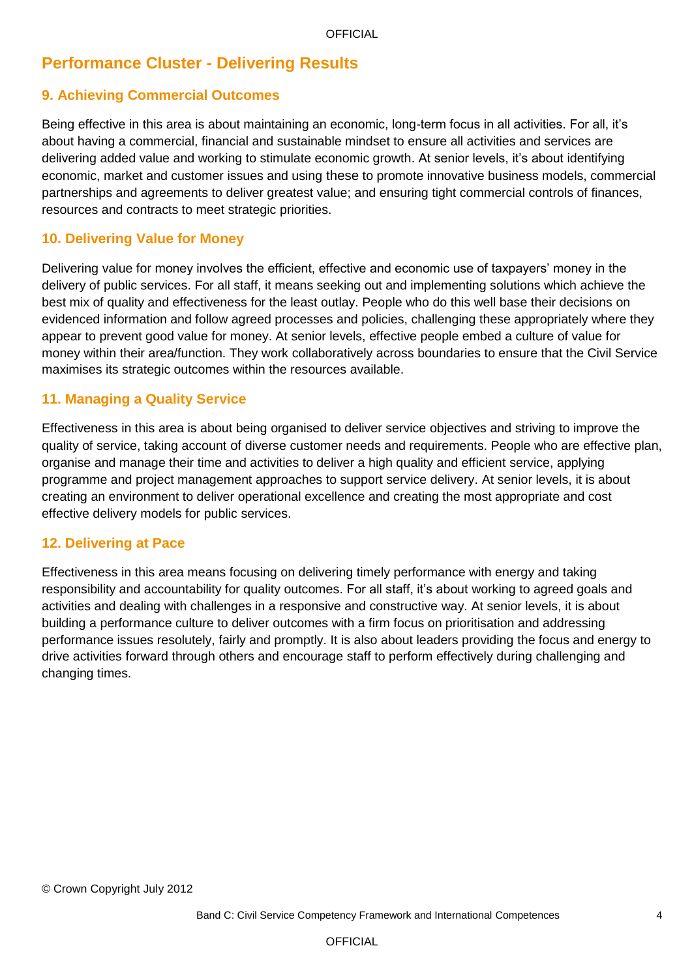# **Performance Cluster - Delivering Results**

## **9. Achieving Commercial Outcomes**

Being effective in this area is about maintaining an economic, long-term focus in all activities. For all, it"s about having a commercial, financial and sustainable mindset to ensure all activities and services are delivering added value and working to stimulate economic growth. At senior levels, it"s about identifying economic, market and customer issues and using these to promote innovative business models, commercial partnerships and agreements to deliver greatest value; and ensuring tight commercial controls of finances, resources and contracts to meet strategic priorities.

### **10. Delivering Value for Money**

Delivering value for money involves the efficient, effective and economic use of taxpayers' money in the delivery of public services. For all staff, it means seeking out and implementing solutions which achieve the best mix of quality and effectiveness for the least outlay. People who do this well base their decisions on evidenced information and follow agreed processes and policies, challenging these appropriately where they appear to prevent good value for money. At senior levels, effective people embed a culture of value for money within their area/function. They work collaboratively across boundaries to ensure that the Civil Service maximises its strategic outcomes within the resources available.

#### **11. Managing a Quality Service**

Effectiveness in this area is about being organised to deliver service objectives and striving to improve the quality of service, taking account of diverse customer needs and requirements. People who are effective plan, organise and manage their time and activities to deliver a high quality and efficient service, applying programme and project management approaches to support service delivery. At senior levels, it is about creating an environment to deliver operational excellence and creating the most appropriate and cost effective delivery models for public services.

#### **12. Delivering at Pace**

Effectiveness in this area means focusing on delivering timely performance with energy and taking responsibility and accountability for quality outcomes. For all staff, it"s about working to agreed goals and activities and dealing with challenges in a responsive and constructive way. At senior levels, it is about building a performance culture to deliver outcomes with a firm focus on prioritisation and addressing performance issues resolutely, fairly and promptly. It is also about leaders providing the focus and energy to drive activities forward through others and encourage staff to perform effectively during challenging and changing times.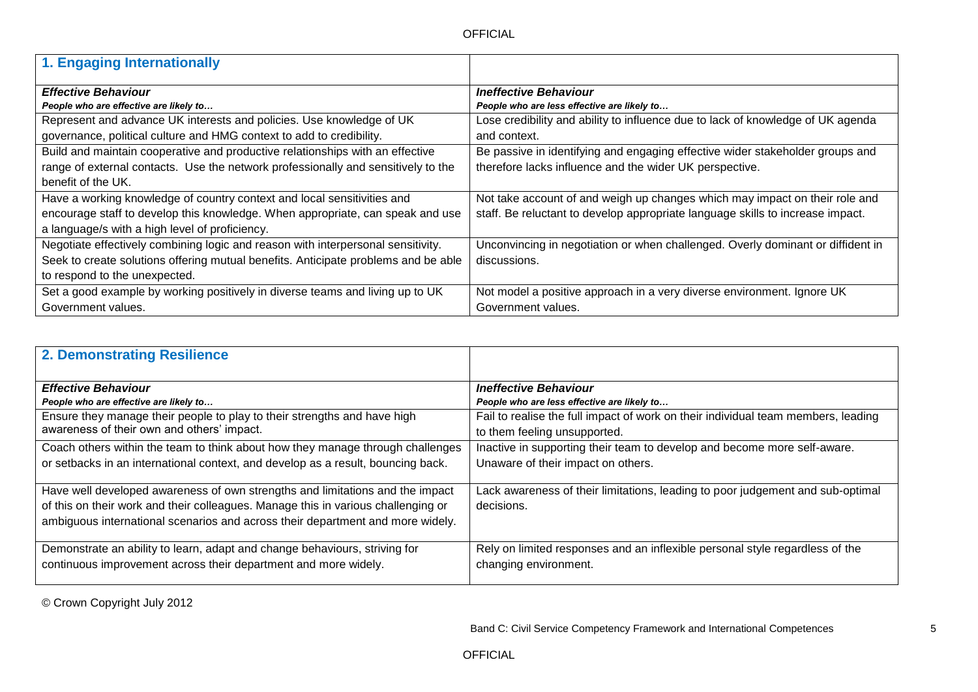| 1. Engaging Internationally                                                        |                                                                                 |
|------------------------------------------------------------------------------------|---------------------------------------------------------------------------------|
| <b>Effective Behaviour</b>                                                         | <b>Ineffective Behaviour</b>                                                    |
| People who are effective are likely to                                             | People who are less effective are likely to                                     |
| Represent and advance UK interests and policies. Use knowledge of UK               | Lose credibility and ability to influence due to lack of knowledge of UK agenda |
| governance, political culture and HMG context to add to credibility.               | and context.                                                                    |
| Build and maintain cooperative and productive relationships with an effective      | Be passive in identifying and engaging effective wider stakeholder groups and   |
| range of external contacts. Use the network professionally and sensitively to the  | therefore lacks influence and the wider UK perspective.                         |
| benefit of the UK.                                                                 |                                                                                 |
| Have a working knowledge of country context and local sensitivities and            | Not take account of and weigh up changes which may impact on their role and     |
| encourage staff to develop this knowledge. When appropriate, can speak and use     | staff. Be reluctant to develop appropriate language skills to increase impact.  |
| a language/s with a high level of proficiency.                                     |                                                                                 |
| Negotiate effectively combining logic and reason with interpersonal sensitivity.   | Unconvincing in negotiation or when challenged. Overly dominant or diffident in |
| Seek to create solutions offering mutual benefits. Anticipate problems and be able | discussions.                                                                    |
| to respond to the unexpected.                                                      |                                                                                 |
| Set a good example by working positively in diverse teams and living up to UK      | Not model a positive approach in a very diverse environment. Ignore UK          |
| Government values.                                                                 | Government values.                                                              |

| 2. Demonstrating Resilience                                                       |                                                                                   |
|-----------------------------------------------------------------------------------|-----------------------------------------------------------------------------------|
| <b>Effective Behaviour</b>                                                        | <b>Ineffective Behaviour</b>                                                      |
| People who are effective are likely to                                            | People who are less effective are likely to                                       |
| Ensure they manage their people to play to their strengths and have high          | Fail to realise the full impact of work on their individual team members, leading |
| awareness of their own and others' impact.                                        | to them feeling unsupported.                                                      |
| Coach others within the team to think about how they manage through challenges    | Inactive in supporting their team to develop and become more self-aware.          |
| or setbacks in an international context, and develop as a result, bouncing back.  | Unaware of their impact on others.                                                |
| Have well developed awareness of own strengths and limitations and the impact     | Lack awareness of their limitations, leading to poor judgement and sub-optimal    |
| of this on their work and their colleagues. Manage this in various challenging or | decisions.                                                                        |
| ambiguous international scenarios and across their department and more widely.    |                                                                                   |
|                                                                                   |                                                                                   |
| Demonstrate an ability to learn, adapt and change behaviours, striving for        | Rely on limited responses and an inflexible personal style regardless of the      |
| continuous improvement across their department and more widely.                   | changing environment.                                                             |
|                                                                                   |                                                                                   |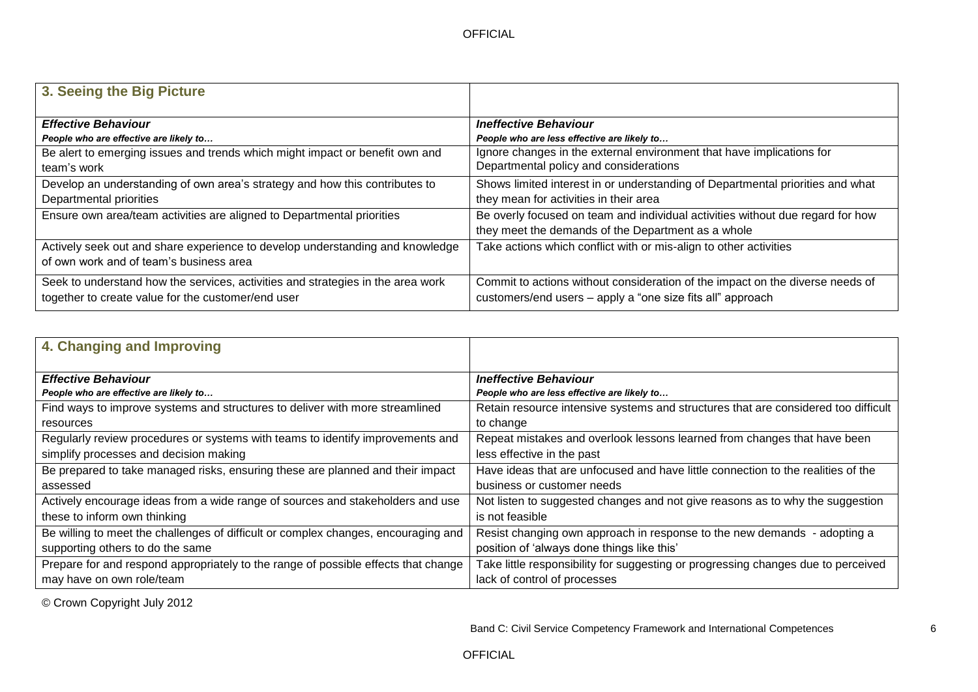| 3. Seeing the Big Picture                                                       |                                                                                |
|---------------------------------------------------------------------------------|--------------------------------------------------------------------------------|
| <b>Effective Behaviour</b>                                                      | <b>Ineffective Behaviour</b>                                                   |
| People who are effective are likely to                                          | People who are less effective are likely to                                    |
| Be alert to emerging issues and trends which might impact or benefit own and    | Ignore changes in the external environment that have implications for          |
| team's work                                                                     | Departmental policy and considerations                                         |
| Develop an understanding of own area's strategy and how this contributes to     | Shows limited interest in or understanding of Departmental priorities and what |
| Departmental priorities                                                         | they mean for activities in their area                                         |
| Ensure own area/team activities are aligned to Departmental priorities          | Be overly focused on team and individual activities without due regard for how |
|                                                                                 | they meet the demands of the Department as a whole                             |
| Actively seek out and share experience to develop understanding and knowledge   | Take actions which conflict with or mis-align to other activities              |
| of own work and of team's business area                                         |                                                                                |
| Seek to understand how the services, activities and strategies in the area work | Commit to actions without consideration of the impact on the diverse needs of  |
| together to create value for the customer/end user                              | customers/end users - apply a "one size fits all" approach                     |

| 4. Changing and Improving                                                          |                                                                                    |
|------------------------------------------------------------------------------------|------------------------------------------------------------------------------------|
| <b>Effective Behaviour</b>                                                         | <b>Ineffective Behaviour</b>                                                       |
| People who are effective are likely to                                             | People who are less effective are likely to                                        |
| Find ways to improve systems and structures to deliver with more streamlined       | Retain resource intensive systems and structures that are considered too difficult |
| resources                                                                          | to change                                                                          |
| Regularly review procedures or systems with teams to identify improvements and     | Repeat mistakes and overlook lessons learned from changes that have been           |
| simplify processes and decision making                                             | less effective in the past                                                         |
| Be prepared to take managed risks, ensuring these are planned and their impact     | Have ideas that are unfocused and have little connection to the realities of the   |
| assessed                                                                           | business or customer needs                                                         |
| Actively encourage ideas from a wide range of sources and stakeholders and use     | Not listen to suggested changes and not give reasons as to why the suggestion      |
| these to inform own thinking                                                       | is not feasible                                                                    |
| Be willing to meet the challenges of difficult or complex changes, encouraging and | Resist changing own approach in response to the new demands - adopting a           |
| supporting others to do the same                                                   | position of 'always done things like this'                                         |
| Prepare for and respond appropriately to the range of possible effects that change | Take little responsibility for suggesting or progressing changes due to perceived  |
| may have on own role/team                                                          | lack of control of processes                                                       |

Band C: Civil Service Competency Framework and International Competences 6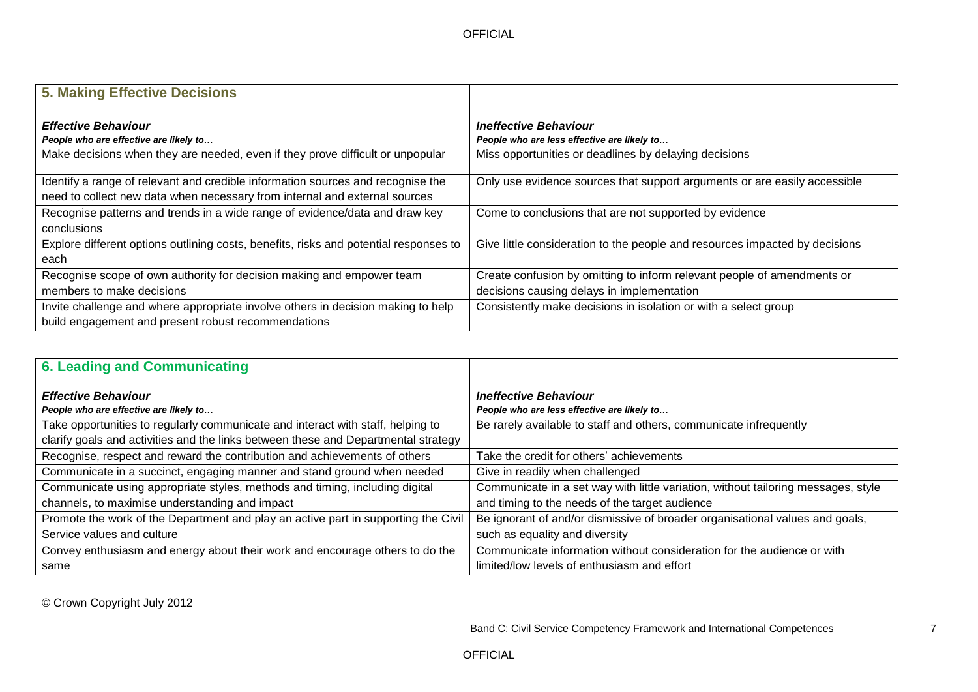| <b>5. Making Effective Decisions</b>                                                  |                                                                             |
|---------------------------------------------------------------------------------------|-----------------------------------------------------------------------------|
| <b>Effective Behaviour</b>                                                            | <b>Ineffective Behaviour</b>                                                |
| People who are effective are likely to                                                | People who are less effective are likely to                                 |
| Make decisions when they are needed, even if they prove difficult or unpopular        | Miss opportunities or deadlines by delaying decisions                       |
| Identify a range of relevant and credible information sources and recognise the       | Only use evidence sources that support arguments or are easily accessible   |
| need to collect new data when necessary from internal and external sources            |                                                                             |
| Recognise patterns and trends in a wide range of evidence/data and draw key           | Come to conclusions that are not supported by evidence                      |
| conclusions                                                                           |                                                                             |
| Explore different options outlining costs, benefits, risks and potential responses to | Give little consideration to the people and resources impacted by decisions |
| each                                                                                  |                                                                             |
| Recognise scope of own authority for decision making and empower team                 | Create confusion by omitting to inform relevant people of amendments or     |
| members to make decisions                                                             | decisions causing delays in implementation                                  |
| Invite challenge and where appropriate involve others in decision making to help      | Consistently make decisions in isolation or with a select group             |
| build engagement and present robust recommendations                                   |                                                                             |

| 6. Leading and Communicating                                                       |                                                                                   |
|------------------------------------------------------------------------------------|-----------------------------------------------------------------------------------|
| <b>Effective Behaviour</b>                                                         | <b>Ineffective Behaviour</b>                                                      |
| People who are effective are likely to                                             | People who are less effective are likely to                                       |
| Take opportunities to regularly communicate and interact with staff, helping to    | Be rarely available to staff and others, communicate infrequently                 |
| clarify goals and activities and the links between these and Departmental strategy |                                                                                   |
| Recognise, respect and reward the contribution and achievements of others          | Take the credit for others' achievements                                          |
| Communicate in a succinct, engaging manner and stand ground when needed            | Give in readily when challenged                                                   |
| Communicate using appropriate styles, methods and timing, including digital        | Communicate in a set way with little variation, without tailoring messages, style |
| channels, to maximise understanding and impact                                     | and timing to the needs of the target audience                                    |
| Promote the work of the Department and play an active part in supporting the Civil | Be ignorant of and/or dismissive of broader organisational values and goals,      |
| Service values and culture                                                         | such as equality and diversity                                                    |
| Convey enthusiasm and energy about their work and encourage others to do the       | Communicate information without consideration for the audience or with            |
| same                                                                               | limited/low levels of enthusiasm and effort                                       |

Band C: Civil Service Competency Framework and International Competences 7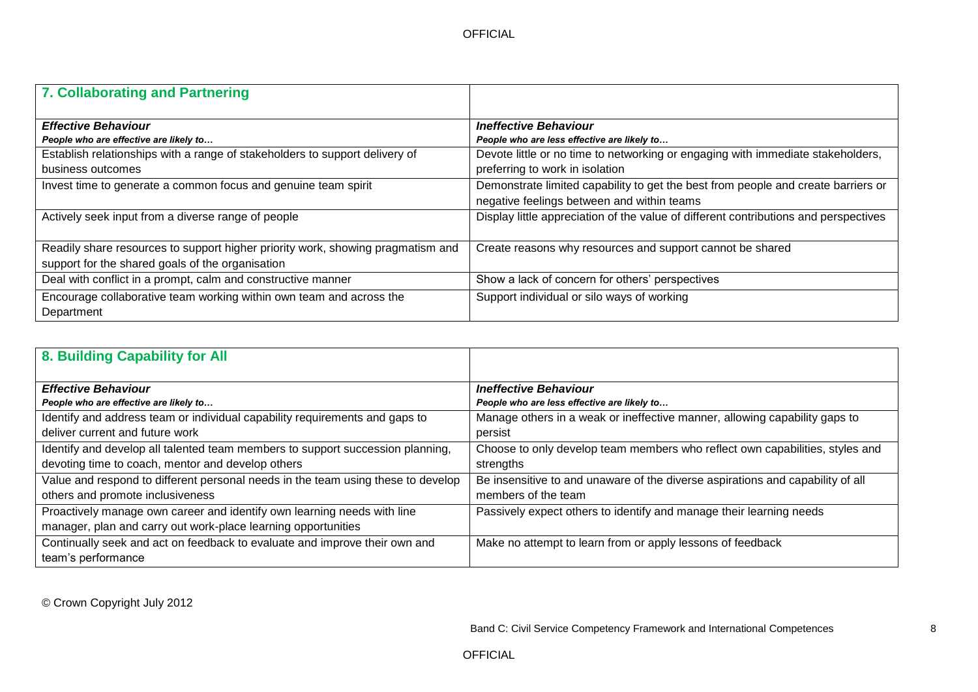| <b>7. Collaborating and Partnering</b>                                                                                                     |                                                                                                                                                                   |
|--------------------------------------------------------------------------------------------------------------------------------------------|-------------------------------------------------------------------------------------------------------------------------------------------------------------------|
| <b>Effective Behaviour</b>                                                                                                                 | <b>Ineffective Behaviour</b>                                                                                                                                      |
| People who are effective are likely to<br>Establish relationships with a range of stakeholders to support delivery of<br>business outcomes | People who are less effective are likely to<br>Devote little or no time to networking or engaging with immediate stakeholders,<br>preferring to work in isolation |
| Invest time to generate a common focus and genuine team spirit                                                                             | Demonstrate limited capability to get the best from people and create barriers or<br>negative feelings between and within teams                                   |
| Actively seek input from a diverse range of people                                                                                         | Display little appreciation of the value of different contributions and perspectives                                                                              |
| Readily share resources to support higher priority work, showing pragmatism and<br>support for the shared goals of the organisation        | Create reasons why resources and support cannot be shared                                                                                                         |
| Deal with conflict in a prompt, calm and constructive manner                                                                               | Show a lack of concern for others' perspectives                                                                                                                   |
| Encourage collaborative team working within own team and across the<br>Department                                                          | Support individual or silo ways of working                                                                                                                        |

| 8. Building Capability for All                                                   |                                                                                |
|----------------------------------------------------------------------------------|--------------------------------------------------------------------------------|
|                                                                                  |                                                                                |
| <b>Effective Behaviour</b>                                                       | <b>Ineffective Behaviour</b>                                                   |
| People who are effective are likely to                                           | People who are less effective are likely to                                    |
| Identify and address team or individual capability requirements and gaps to      | Manage others in a weak or ineffective manner, allowing capability gaps to     |
| deliver current and future work                                                  | persist                                                                        |
| Identify and develop all talented team members to support succession planning,   | Choose to only develop team members who reflect own capabilities, styles and   |
| devoting time to coach, mentor and develop others                                | strengths                                                                      |
| Value and respond to different personal needs in the team using these to develop | Be insensitive to and unaware of the diverse aspirations and capability of all |
| others and promote inclusiveness                                                 | members of the team                                                            |
| Proactively manage own career and identify own learning needs with line          | Passively expect others to identify and manage their learning needs            |
| manager, plan and carry out work-place learning opportunities                    |                                                                                |
| Continually seek and act on feedback to evaluate and improve their own and       | Make no attempt to learn from or apply lessons of feedback                     |
| team's performance                                                               |                                                                                |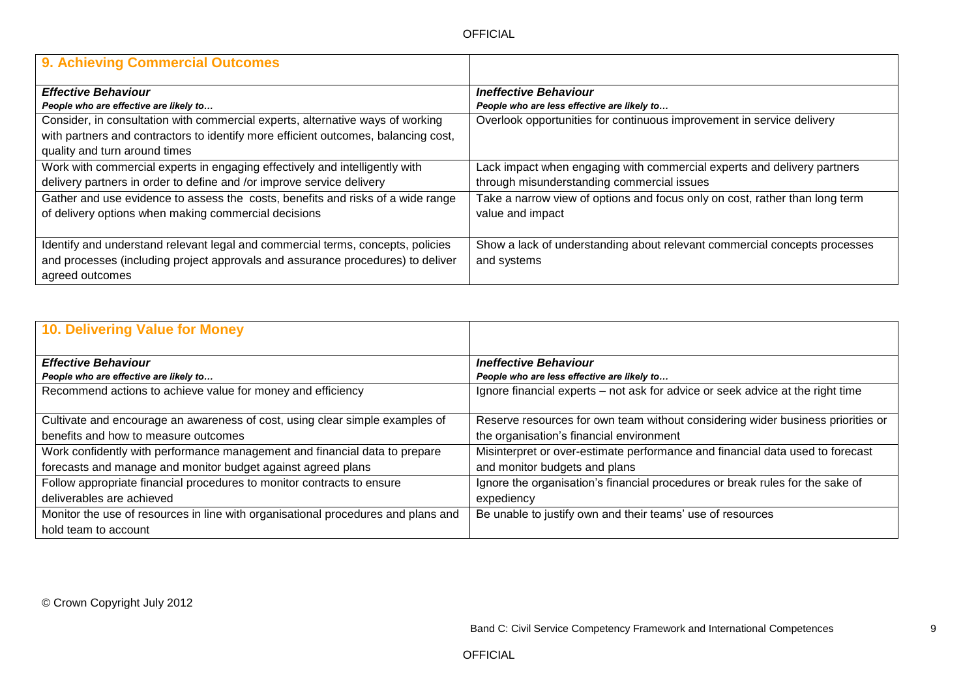| 9. Achieving Commercial Outcomes                                                   |                                                                             |
|------------------------------------------------------------------------------------|-----------------------------------------------------------------------------|
| <b>Effective Behaviour</b>                                                         | <b>Ineffective Behaviour</b>                                                |
| People who are effective are likely to                                             | People who are less effective are likely to                                 |
| Consider, in consultation with commercial experts, alternative ways of working     | Overlook opportunities for continuous improvement in service delivery       |
| with partners and contractors to identify more efficient outcomes, balancing cost, |                                                                             |
| quality and turn around times                                                      |                                                                             |
| Work with commercial experts in engaging effectively and intelligently with        | Lack impact when engaging with commercial experts and delivery partners     |
| delivery partners in order to define and /or improve service delivery              | through misunderstanding commercial issues                                  |
| Gather and use evidence to assess the costs, benefits and risks of a wide range    | Take a narrow view of options and focus only on cost, rather than long term |
| of delivery options when making commercial decisions                               | value and impact                                                            |
|                                                                                    |                                                                             |
| Identify and understand relevant legal and commercial terms, concepts, policies    | Show a lack of understanding about relevant commercial concepts processes   |
| and processes (including project approvals and assurance procedures) to deliver    | and systems                                                                 |
| agreed outcomes                                                                    |                                                                             |

| 10. Delivering Value for Money                                                    |                                                                                 |
|-----------------------------------------------------------------------------------|---------------------------------------------------------------------------------|
|                                                                                   |                                                                                 |
| <b>Effective Behaviour</b>                                                        | <b>Ineffective Behaviour</b>                                                    |
| People who are effective are likely to                                            | People who are less effective are likely to                                     |
| Recommend actions to achieve value for money and efficiency                       | Ignore financial experts - not ask for advice or seek advice at the right time  |
|                                                                                   |                                                                                 |
| Cultivate and encourage an awareness of cost, using clear simple examples of      | Reserve resources for own team without considering wider business priorities or |
| benefits and how to measure outcomes                                              | the organisation's financial environment                                        |
| Work confidently with performance management and financial data to prepare        | Misinterpret or over-estimate performance and financial data used to forecast   |
| forecasts and manage and monitor budget against agreed plans                      | and monitor budgets and plans                                                   |
| Follow appropriate financial procedures to monitor contracts to ensure            | Ignore the organisation's financial procedures or break rules for the sake of   |
| deliverables are achieved                                                         | expediency                                                                      |
| Monitor the use of resources in line with organisational procedures and plans and | Be unable to justify own and their teams' use of resources                      |
| hold team to account                                                              |                                                                                 |